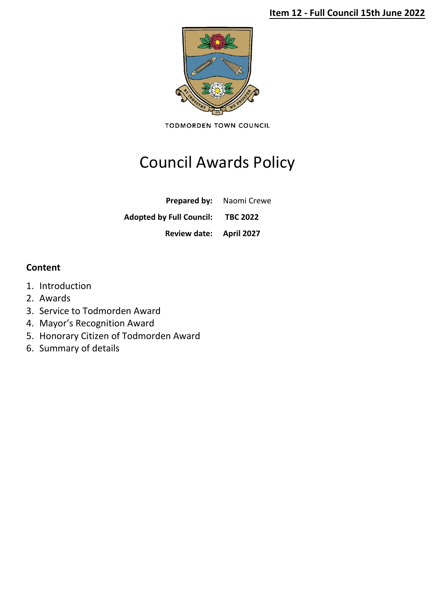# **Item 12 - Full Council 15th June 2022**



**TODMORDEN TOWN COUNCIL** 

# Council Awards Policy

**Prepared by:** Naomi Crewe

**Adopted by Full Council: TBC 2022**

**Review date: April 2027**

# **Content**

- 1. Introduction
- 2. Awards
- 3. Service to Todmorden Award
- 4. Mayor's Recognition Award
- 5. Honorary Citizen of Todmorden Award
- 6. Summary of details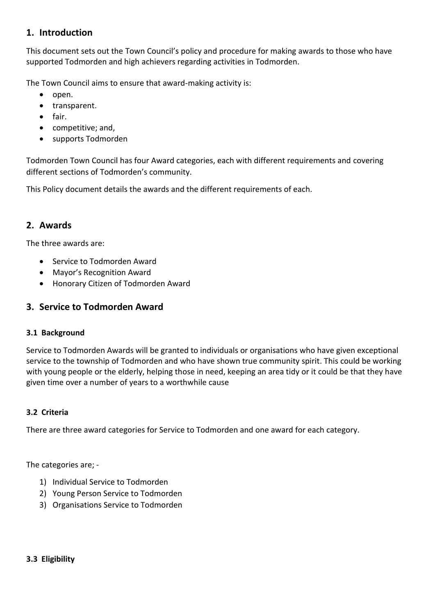# **1. Introduction**

This document sets out the Town Council's policy and procedure for making awards to those who have supported Todmorden and high achievers regarding activities in Todmorden.

The Town Council aims to ensure that award-making activity is:

- open.
- transparent.
- fair.
- competitive; and,
- supports Todmorden

Todmorden Town Council has four Award categories, each with different requirements and covering different sections of Todmorden's community.

This Policy document details the awards and the different requirements of each.

# **2. Awards**

The three awards are:

- Service to Todmorden Award
- Mayor's Recognition Award
- Honorary Citizen of Todmorden Award

# **3. Service to Todmorden Award**

## **3.1 Background**

Service to Todmorden Awards will be granted to individuals or organisations who have given exceptional service to the township of Todmorden and who have shown true community spirit. This could be working with young people or the elderly, helping those in need, keeping an area tidy or it could be that they have given time over a number of years to a worthwhile cause

## **3.2 Criteria**

There are three award categories for Service to Todmorden and one award for each category.

The categories are; -

- 1) Individual Service to Todmorden
- 2) Young Person Service to Todmorden
- 3) Organisations Service to Todmorden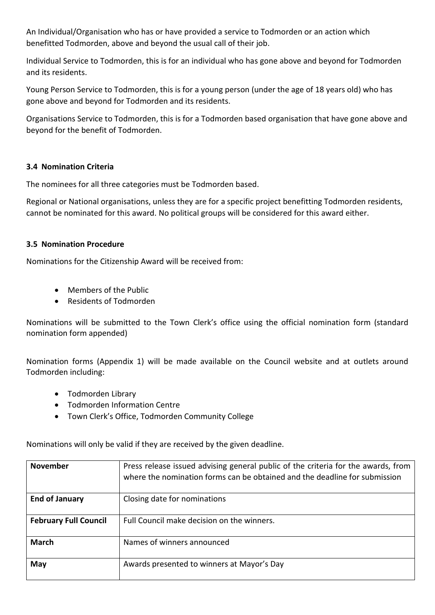An Individual/Organisation who has or have provided a service to Todmorden or an action which benefitted Todmorden, above and beyond the usual call of their job.

Individual Service to Todmorden, this is for an individual who has gone above and beyond for Todmorden and its residents.

Young Person Service to Todmorden, this is for a young person (under the age of 18 years old) who has gone above and beyond for Todmorden and its residents.

Organisations Service to Todmorden, this is for a Todmorden based organisation that have gone above and beyond for the benefit of Todmorden.

## **3.4 Nomination Criteria**

The nominees for all three categories must be Todmorden based.

Regional or National organisations, unless they are for a specific project benefitting Todmorden residents, cannot be nominated for this award. No political groups will be considered for this award either.

## **3.5 Nomination Procedure**

Nominations for the Citizenship Award will be received from:

- Members of the Public
- Residents of Todmorden

Nominations will be submitted to the Town Clerk's office using the official nomination form (standard nomination form appended)

Nomination forms (Appendix 1) will be made available on the Council website and at outlets around Todmorden including:

- Todmorden Library
- Todmorden Information Centre
- Town Clerk's Office, Todmorden Community College

Nominations will only be valid if they are received by the given deadline.

| <b>November</b>              | Press release issued advising general public of the criteria for the awards, from<br>where the nomination forms can be obtained and the deadline for submission |  |
|------------------------------|-----------------------------------------------------------------------------------------------------------------------------------------------------------------|--|
| <b>End of January</b>        | Closing date for nominations                                                                                                                                    |  |
| <b>February Full Council</b> | Full Council make decision on the winners.                                                                                                                      |  |
| <b>March</b>                 | Names of winners announced                                                                                                                                      |  |
| May                          | Awards presented to winners at Mayor's Day                                                                                                                      |  |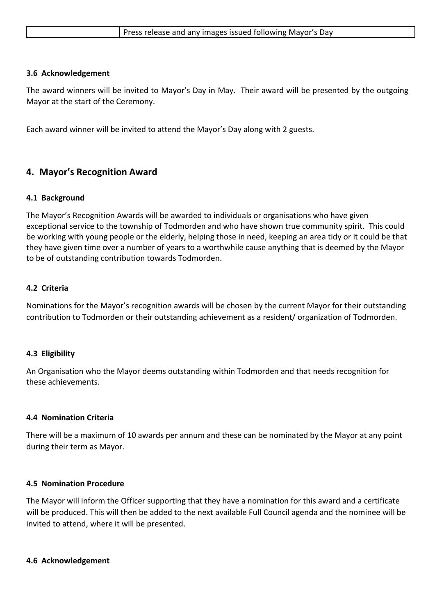|  |  | Press release and any images issued following Mayor's Day |
|--|--|-----------------------------------------------------------|
|--|--|-----------------------------------------------------------|

#### **3.6 Acknowledgement**

The award winners will be invited to Mayor's Day in May. Their award will be presented by the outgoing Mayor at the start of the Ceremony.

Each award winner will be invited to attend the Mayor's Day along with 2 guests.

# **4. Mayor's Recognition Award**

#### **4.1 Background**

The Mayor's Recognition Awards will be awarded to individuals or organisations who have given exceptional service to the township of Todmorden and who have shown true community spirit. This could be working with young people or the elderly, helping those in need, keeping an area tidy or it could be that they have given time over a number of years to a worthwhile cause anything that is deemed by the Mayor to be of outstanding contribution towards Todmorden.

#### **4.2 Criteria**

Nominations for the Mayor's recognition awards will be chosen by the current Mayor for their outstanding contribution to Todmorden or their outstanding achievement as a resident/ organization of Todmorden.

#### **4.3 Eligibility**

An Organisation who the Mayor deems outstanding within Todmorden and that needs recognition for these achievements.

#### **4.4 Nomination Criteria**

There will be a maximum of 10 awards per annum and these can be nominated by the Mayor at any point during their term as Mayor.

#### **4.5 Nomination Procedure**

The Mayor will inform the Officer supporting that they have a nomination for this award and a certificate will be produced. This will then be added to the next available Full Council agenda and the nominee will be invited to attend, where it will be presented.

#### **4.6 Acknowledgement**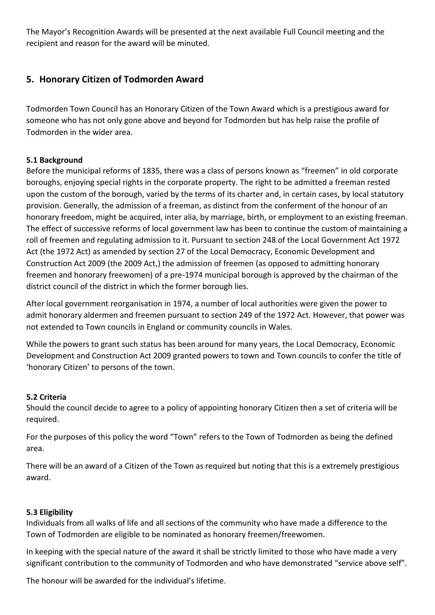The Mayor's Recognition Awards will be presented at the next available Full Council meeting and the recipient and reason for the award will be minuted.

# **5. Honorary Citizen of Todmorden Award**

Todmorden Town Council has an Honorary Citizen of the Town Award which is a prestigious award for someone who has not only gone above and beyond for Todmorden but has help raise the profile of Todmorden in the wider area.

# **5.1 Background**

Before the municipal reforms of 1835, there was a class of persons known as "freemen" in old corporate boroughs, enjoying special rights in the corporate property. The right to be admitted a freeman rested upon the custom of the borough, varied by the terms of its charter and, in certain cases, by local statutory provision. Generally, the admission of a freeman, as distinct from the conferment of the honour of an honorary freedom, might be acquired, inter alia, by marriage, birth, or employment to an existing freeman. The effect of successive reforms of local government law has been to continue the custom of maintaining a roll of freemen and regulating admission to it. Pursuant to section 248 of the Local Government Act 1972 Act (the 1972 Act) as amended by section 27 of the Local Democracy, Economic Development and Construction Act 2009 (the 2009 Act,) the admission of freemen (as opposed to admitting honorary freemen and honorary freewomen) of a pre-1974 municipal borough is approved by the chairman of the district council of the district in which the former borough lies.

After local government reorganisation in 1974, a number of local authorities were given the power to admit honorary aldermen and freemen pursuant to section 249 of the 1972 Act. However, that power was not extended to Town councils in England or community councils in Wales.

While the powers to grant such status has been around for many years, the Local Democracy, Economic Development and Construction Act 2009 granted powers to town and Town councils to confer the title of 'honorary Citizen' to persons of the town.

## **5.2 Criteria**

Should the council decide to agree to a policy of appointing honorary Citizen then a set of criteria will be required.

For the purposes of this policy the word "Town" refers to the Town of Todmorden as being the defined area.

There will be an award of a Citizen of the Town as required but noting that this is a extremely prestigious award.

## **5.3 Eligibility**

Individuals from all walks of life and all sections of the community who have made a difference to the Town of Todmorden are eligible to be nominated as honorary freemen/freewomen.

In keeping with the special nature of the award it shall be strictly limited to those who have made a very significant contribution to the community of Todmorden and who have demonstrated "service above self".

The honour will be awarded for the individual's lifetime.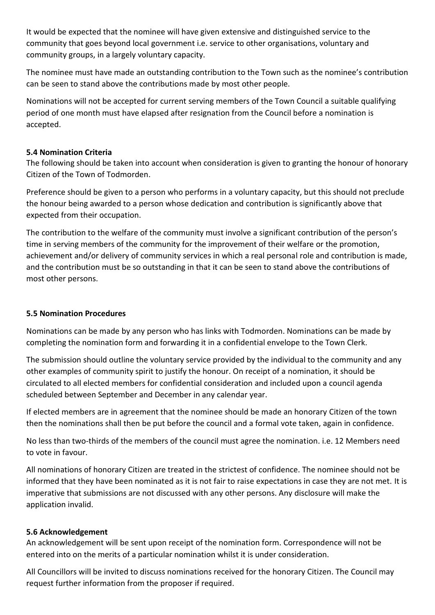It would be expected that the nominee will have given extensive and distinguished service to the community that goes beyond local government i.e. service to other organisations, voluntary and community groups, in a largely voluntary capacity.

The nominee must have made an outstanding contribution to the Town such as the nominee's contribution can be seen to stand above the contributions made by most other people.

Nominations will not be accepted for current serving members of the Town Council a suitable qualifying period of one month must have elapsed after resignation from the Council before a nomination is accepted.

## **5.4 Nomination Criteria**

The following should be taken into account when consideration is given to granting the honour of honorary Citizen of the Town of Todmorden.

Preference should be given to a person who performs in a voluntary capacity, but this should not preclude the honour being awarded to a person whose dedication and contribution is significantly above that expected from their occupation.

The contribution to the welfare of the community must involve a significant contribution of the person's time in serving members of the community for the improvement of their welfare or the promotion, achievement and/or delivery of community services in which a real personal role and contribution is made, and the contribution must be so outstanding in that it can be seen to stand above the contributions of most other persons.

## **5.5 Nomination Procedures**

Nominations can be made by any person who has links with Todmorden. Nominations can be made by completing the nomination form and forwarding it in a confidential envelope to the Town Clerk.

The submission should outline the voluntary service provided by the individual to the community and any other examples of community spirit to justify the honour. On receipt of a nomination, it should be circulated to all elected members for confidential consideration and included upon a council agenda scheduled between September and December in any calendar year.

If elected members are in agreement that the nominee should be made an honorary Citizen of the town then the nominations shall then be put before the council and a formal vote taken, again in confidence.

No less than two-thirds of the members of the council must agree the nomination. i.e. 12 Members need to vote in favour.

All nominations of honorary Citizen are treated in the strictest of confidence. The nominee should not be informed that they have been nominated as it is not fair to raise expectations in case they are not met. It is imperative that submissions are not discussed with any other persons. Any disclosure will make the application invalid.

## **5.6 Acknowledgement**

An acknowledgement will be sent upon receipt of the nomination form. Correspondence will not be entered into on the merits of a particular nomination whilst it is under consideration.

All Councillors will be invited to discuss nominations received for the honorary Citizen. The Council may request further information from the proposer if required.